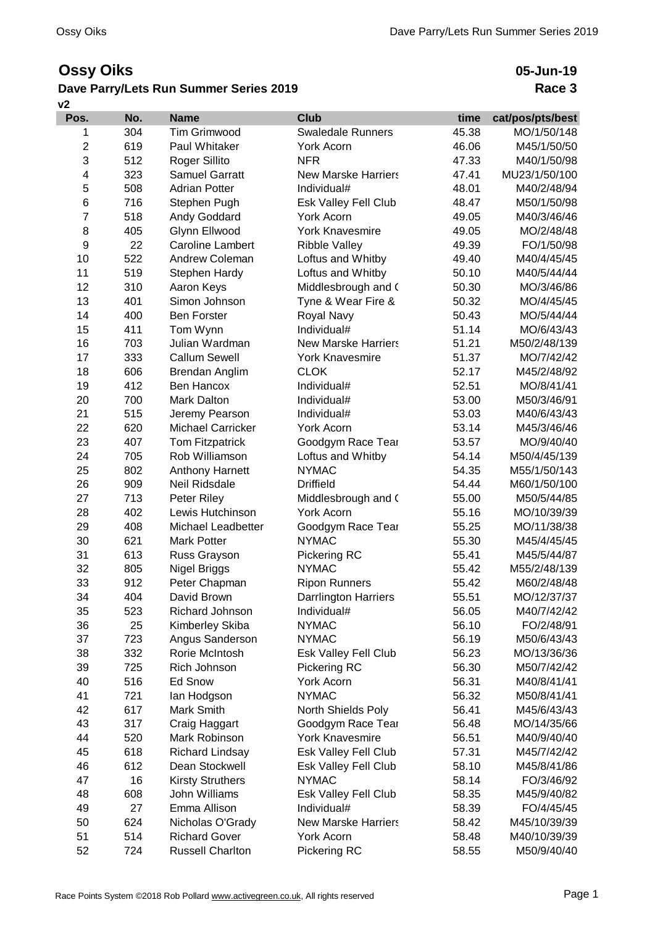## **Ossy Oiks**

## **Dave Parry/Lets Run Summer Series 2019**

**05-Jun-19 Race 3**

| v2             |     |                          |                             |       |                  |  |
|----------------|-----|--------------------------|-----------------------------|-------|------------------|--|
| Pos.           | No. | <b>Name</b>              | <b>Club</b>                 | time  | cat/pos/pts/best |  |
| 1              | 304 | <b>Tim Grimwood</b>      | <b>Swaledale Runners</b>    | 45.38 | MO/1/50/148      |  |
| $\overline{c}$ | 619 | Paul Whitaker            | York Acorn                  | 46.06 | M45/1/50/50      |  |
| 3              | 512 | Roger Sillito            | <b>NFR</b>                  | 47.33 | M40/1/50/98      |  |
| 4              | 323 | <b>Samuel Garratt</b>    | <b>New Marske Harriers</b>  | 47.41 | MU23/1/50/100    |  |
| 5              | 508 | <b>Adrian Potter</b>     | Individual#                 | 48.01 | M40/2/48/94      |  |
| 6              | 716 | Stephen Pugh             | Esk Valley Fell Club        | 48.47 | M50/1/50/98      |  |
| $\overline{7}$ | 518 | Andy Goddard             | <b>York Acorn</b>           | 49.05 | M40/3/46/46      |  |
| 8              | 405 | Glynn Ellwood            | <b>York Knavesmire</b>      | 49.05 | MO/2/48/48       |  |
| 9              | 22  | <b>Caroline Lambert</b>  | <b>Ribble Valley</b>        | 49.39 | FO/1/50/98       |  |
| 10             | 522 | Andrew Coleman           | Loftus and Whitby           | 49.40 | M40/4/45/45      |  |
| 11             | 519 | Stephen Hardy            | Loftus and Whitby           | 50.10 | M40/5/44/44      |  |
| 12             | 310 | Aaron Keys               | Middlesbrough and (         | 50.30 | MO/3/46/86       |  |
| 13             | 401 | Simon Johnson            | Tyne & Wear Fire &          | 50.32 | MO/4/45/45       |  |
| 14             | 400 | <b>Ben Forster</b>       | Royal Navy                  | 50.43 | MO/5/44/44       |  |
| 15             | 411 | Tom Wynn                 | Individual#                 | 51.14 | MO/6/43/43       |  |
| 16             | 703 | Julian Wardman           | <b>New Marske Harriers</b>  | 51.21 | M50/2/48/139     |  |
| 17             | 333 | <b>Callum Sewell</b>     | <b>York Knavesmire</b>      | 51.37 | MO/7/42/42       |  |
| 18             | 606 | Brendan Anglim           | <b>CLOK</b>                 | 52.17 | M45/2/48/92      |  |
| 19             | 412 | Ben Hancox               | Individual#                 | 52.51 | MO/8/41/41       |  |
| 20             | 700 | Mark Dalton              | Individual#                 | 53.00 | M50/3/46/91      |  |
| 21             | 515 | Jeremy Pearson           | Individual#                 | 53.03 | M40/6/43/43      |  |
| 22             | 620 | <b>Michael Carricker</b> | <b>York Acorn</b>           | 53.14 | M45/3/46/46      |  |
| 23             | 407 | <b>Tom Fitzpatrick</b>   | Goodgym Race Tear           | 53.57 | MO/9/40/40       |  |
| 24             | 705 | Rob Williamson           | Loftus and Whitby           | 54.14 | M50/4/45/139     |  |
| 25             | 802 | <b>Anthony Harnett</b>   | <b>NYMAC</b>                | 54.35 | M55/1/50/143     |  |
| 26             | 909 | Neil Ridsdale            | <b>Driffield</b>            | 54.44 | M60/1/50/100     |  |
| 27             | 713 | Peter Riley              | Middlesbrough and (         | 55.00 | M50/5/44/85      |  |
| 28             | 402 | Lewis Hutchinson         | York Acorn                  | 55.16 | MO/10/39/39      |  |
| 29             | 408 | Michael Leadbetter       | Goodgym Race Tear           | 55.25 | MO/11/38/38      |  |
| 30             | 621 | <b>Mark Potter</b>       | <b>NYMAC</b>                | 55.30 | M45/4/45/45      |  |
| 31             | 613 | Russ Grayson             | Pickering RC                | 55.41 | M45/5/44/87      |  |
| 32             | 805 | Nigel Briggs             | <b>NYMAC</b>                | 55.42 | M55/2/48/139     |  |
| 33             | 912 | Peter Chapman            | <b>Ripon Runners</b>        | 55.42 | M60/2/48/48      |  |
| 34             | 404 | David Brown              | <b>Darrlington Harriers</b> | 55.51 | MO/12/37/37      |  |
| 35             | 523 | Richard Johnson          | Individual#                 | 56.05 | M40/7/42/42      |  |
| 36             | 25  | Kimberley Skiba          | <b>NYMAC</b>                | 56.10 | FO/2/48/91       |  |
| 37             | 723 | Angus Sanderson          | <b>NYMAC</b>                | 56.19 | M50/6/43/43      |  |
| 38             | 332 | Rorie McIntosh           | Esk Valley Fell Club        | 56.23 | MO/13/36/36      |  |
| 39             | 725 | Rich Johnson             | Pickering RC                | 56.30 | M50/7/42/42      |  |
| 40             | 516 | <b>Ed Snow</b>           | York Acorn                  | 56.31 | M40/8/41/41      |  |
| 41             | 721 | lan Hodgson              | <b>NYMAC</b>                | 56.32 | M50/8/41/41      |  |
| 42             | 617 | Mark Smith               | North Shields Poly          | 56.41 | M45/6/43/43      |  |
| 43             | 317 | Craig Haggart            | Goodgym Race Tear           | 56.48 | MO/14/35/66      |  |
| 44             | 520 | Mark Robinson            | <b>York Knavesmire</b>      | 56.51 | M40/9/40/40      |  |
| 45             | 618 | <b>Richard Lindsay</b>   | Esk Valley Fell Club        | 57.31 | M45/7/42/42      |  |
| 46             | 612 | Dean Stockwell           | Esk Valley Fell Club        | 58.10 | M45/8/41/86      |  |
| 47             | 16  | <b>Kirsty Struthers</b>  | <b>NYMAC</b>                | 58.14 | FO/3/46/92       |  |
| 48             | 608 | John Williams            | Esk Valley Fell Club        | 58.35 | M45/9/40/82      |  |
| 49             | 27  | Emma Allison             | Individual#                 | 58.39 | FO/4/45/45       |  |
| 50             | 624 | Nicholas O'Grady         | <b>New Marske Harriers</b>  | 58.42 | M45/10/39/39     |  |
| 51             | 514 | <b>Richard Gover</b>     | York Acorn                  | 58.48 | M40/10/39/39     |  |
| 52             | 724 | <b>Russell Charlton</b>  | Pickering RC                | 58.55 | M50/9/40/40      |  |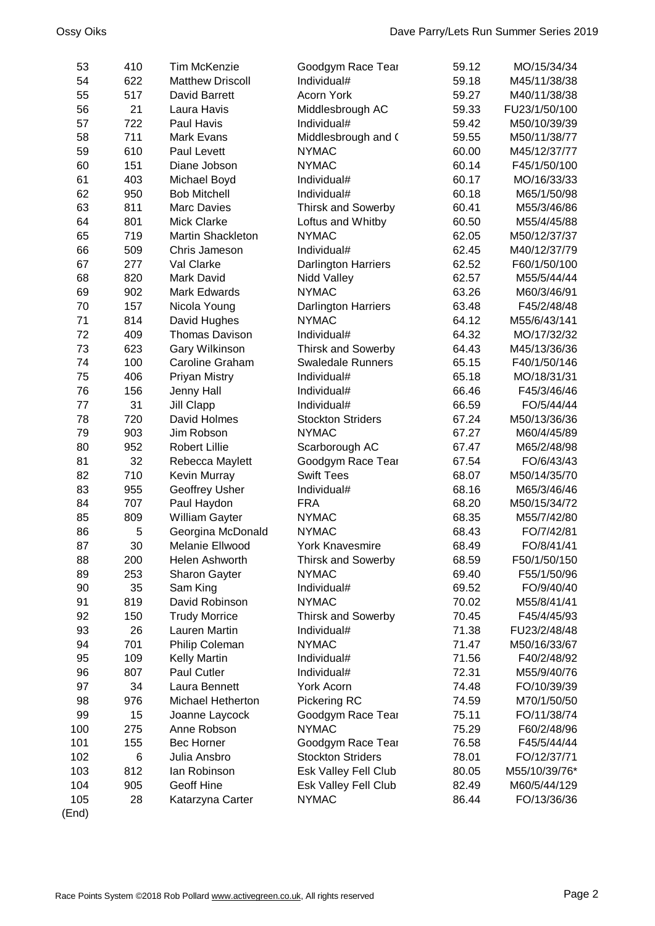| 54<br>622<br><b>Matthew Driscoll</b><br>59.18<br>Individual#<br>M45/11/38/38<br>55<br>517<br>David Barrett<br><b>Acorn York</b><br>59.27<br>M40/11/38/38<br>56<br>21<br>Laura Havis<br>Middlesbrough AC<br>59.33<br>FU23/1/50/100<br>722<br>57<br>Paul Havis<br>Individual#<br>59.42<br>M50/10/39/39<br>58<br>711<br><b>Mark Evans</b><br>Middlesbrough and (<br>59.55<br>M50/11/38/77<br>59<br>610<br>Paul Levett<br><b>NYMAC</b><br>60.00<br>M45/12/37/77<br>60<br>151<br><b>NYMAC</b><br>60.14<br>Diane Jobson<br>F45/1/50/100<br>403<br>61<br>Individual#<br>60.17<br>Michael Boyd<br>MO/16/33/33<br>62<br>950<br><b>Bob Mitchell</b><br>Individual#<br>60.18<br>M65/1/50/98<br>811<br>63<br><b>Marc Davies</b><br>60.41<br><b>Thirsk and Sowerby</b><br>M55/3/46/86<br>64<br>801<br><b>Mick Clarke</b><br>60.50<br>Loftus and Whitby<br>M55/4/45/88<br>65<br>719<br>Martin Shackleton<br><b>NYMAC</b><br>62.05<br>M50/12/37/37<br>66<br>509<br>62.45<br>Chris Jameson<br>Individual#<br>M40/12/37/79<br>67<br>277<br>Val Clarke<br><b>Darlington Harriers</b><br>62.52<br>F60/1/50/100<br>68<br>820<br>Mark David<br>62.57<br>Nidd Valley<br>M55/5/44/44<br>902<br>69<br><b>NYMAC</b><br>63.26<br>Mark Edwards<br>M60/3/46/91<br>70<br>157<br>63.48<br>Nicola Young<br><b>Darlington Harriers</b><br>F45/2/48/48<br>71<br>814<br>64.12<br>David Hughes<br><b>NYMAC</b><br>M55/6/43/141<br>72<br>409<br><b>Thomas Davison</b><br>64.32<br>Individual#<br>MO/17/32/32<br>73<br>623<br>Gary Wilkinson<br>M45/13/36/36<br><b>Thirsk and Sowerby</b><br>64.43<br>74<br>100<br>65.15<br>Caroline Graham<br><b>Swaledale Runners</b><br>F40/1/50/146<br>75<br>406<br>Individual#<br>65.18<br><b>Priyan Mistry</b><br>MO/18/31/31<br>76<br>156<br>Individual#<br>66.46<br>Jenny Hall<br>F45/3/46/46<br>77<br>31<br>Jill Clapp<br>Individual#<br>66.59<br>FO/5/44/44<br>78<br>720<br>David Holmes<br><b>Stockton Striders</b><br>67.24<br>M50/13/36/36<br><b>NYMAC</b><br>79<br>903<br>Jim Robson<br>67.27<br>M60/4/45/89<br>952<br>80<br><b>Robert Lillie</b><br>Scarborough AC<br>67.47<br>M65/2/48/98<br>81<br>32<br>FO/6/43/43<br>Rebecca Maylett<br>Goodgym Race Tear<br>67.54<br>82<br>710<br><b>Swift Tees</b><br>Kevin Murray<br>68.07<br>M50/14/35/70<br>83<br>955<br>68.16<br>Geoffrey Usher<br>Individual#<br>M65/3/46/46<br>84<br>707<br><b>FRA</b><br>Paul Haydon<br>68.20<br>M50/15/34/72<br>85<br>809<br>William Gayter<br><b>NYMAC</b><br>68.35<br>M55/7/42/80<br>5<br>86<br>Georgina McDonald<br><b>NYMAC</b><br>68.43<br>FO/7/42/81<br>87<br>30<br>Melanie Ellwood<br>York Knavesmire<br>68.49<br>FO/8/41/41<br>88<br>200<br>Helen Ashworth<br>68.59<br>F50/1/50/150<br><b>Thirsk and Sowerby</b><br>89<br>253<br><b>NYMAC</b><br>69.40<br>F55/1/50/96<br><b>Sharon Gayter</b><br>90<br>35<br>Individual#<br>69.52<br>FO/9/40/40<br>Sam King<br>91<br>819<br>David Robinson<br><b>NYMAC</b><br>70.02<br>M55/8/41/41<br>92<br>150<br><b>Trudy Morrice</b><br>Thirsk and Sowerby<br>70.45<br>F45/4/45/93<br>93<br>26<br>Lauren Martin<br>71.38<br>Individual#<br>FU23/2/48/48<br>94<br>701<br><b>NYMAC</b><br>Philip Coleman<br>71.47<br>M50/16/33/67<br>95<br>109<br><b>Kelly Martin</b><br>Individual#<br>71.56<br>F40/2/48/92<br>96<br>Paul Cutler<br>807<br>Individual#<br>72.31<br>M55/9/40/76<br>97<br>34<br>Laura Bennett<br>York Acorn<br>74.48<br>FO/10/39/39<br>98<br>976<br>Michael Hetherton<br>Pickering RC<br>74.59<br>M70/1/50/50<br>99<br>15<br>Goodgym Race Tear<br>75.11<br>Joanne Laycock<br>FO/11/38/74<br><b>NYMAC</b><br>100<br>275<br>Anne Robson<br>75.29<br>F60/2/48/96<br>101<br>155<br><b>Bec Horner</b><br>76.58<br>Goodgym Race Tear<br>F45/5/44/44<br>6<br>102<br>Julia Ansbro<br><b>Stockton Striders</b><br>78.01<br>FO/12/37/71<br>Esk Valley Fell Club<br>103<br>812<br>lan Robinson<br>80.05<br>M55/10/39/76*<br>104<br>905<br><b>Geoff Hine</b><br>82.49<br>Esk Valley Fell Club<br>M60/5/44/129<br>105<br>28<br><b>NYMAC</b><br>86.44<br>FO/13/36/36<br>Katarzyna Carter | 53    | 410 | <b>Tim McKenzie</b> | Goodgym Race Tear | 59.12 | MO/15/34/34 |
|---------------------------------------------------------------------------------------------------------------------------------------------------------------------------------------------------------------------------------------------------------------------------------------------------------------------------------------------------------------------------------------------------------------------------------------------------------------------------------------------------------------------------------------------------------------------------------------------------------------------------------------------------------------------------------------------------------------------------------------------------------------------------------------------------------------------------------------------------------------------------------------------------------------------------------------------------------------------------------------------------------------------------------------------------------------------------------------------------------------------------------------------------------------------------------------------------------------------------------------------------------------------------------------------------------------------------------------------------------------------------------------------------------------------------------------------------------------------------------------------------------------------------------------------------------------------------------------------------------------------------------------------------------------------------------------------------------------------------------------------------------------------------------------------------------------------------------------------------------------------------------------------------------------------------------------------------------------------------------------------------------------------------------------------------------------------------------------------------------------------------------------------------------------------------------------------------------------------------------------------------------------------------------------------------------------------------------------------------------------------------------------------------------------------------------------------------------------------------------------------------------------------------------------------------------------------------------------------------------------------------------------------------------------------------------------------------------------------------------------------------------------------------------------------------------------------------------------------------------------------------------------------------------------------------------------------------------------------------------------------------------------------------------------------------------------------------------------------------------------------------------------------------------------------------------------------------------------------------------------------------------------------------------------------------------------------------------------------------------------------------------------------------------------------------------------------------------------------------------------------------------------------------------------------------------------------------------------------------------------------------------------------------------------------------------------------------------------------------------------------------------------------------------------------------------------------------------------------------------------------------------------------------------------------------------------------------------------------------------------------------------------------------|-------|-----|---------------------|-------------------|-------|-------------|
|                                                                                                                                                                                                                                                                                                                                                                                                                                                                                                                                                                                                                                                                                                                                                                                                                                                                                                                                                                                                                                                                                                                                                                                                                                                                                                                                                                                                                                                                                                                                                                                                                                                                                                                                                                                                                                                                                                                                                                                                                                                                                                                                                                                                                                                                                                                                                                                                                                                                                                                                                                                                                                                                                                                                                                                                                                                                                                                                                                                                                                                                                                                                                                                                                                                                                                                                                                                                                                                                                                                                                                                                                                                                                                                                                                                                                                                                                                                                                                                                                           |       |     |                     |                   |       |             |
|                                                                                                                                                                                                                                                                                                                                                                                                                                                                                                                                                                                                                                                                                                                                                                                                                                                                                                                                                                                                                                                                                                                                                                                                                                                                                                                                                                                                                                                                                                                                                                                                                                                                                                                                                                                                                                                                                                                                                                                                                                                                                                                                                                                                                                                                                                                                                                                                                                                                                                                                                                                                                                                                                                                                                                                                                                                                                                                                                                                                                                                                                                                                                                                                                                                                                                                                                                                                                                                                                                                                                                                                                                                                                                                                                                                                                                                                                                                                                                                                                           |       |     |                     |                   |       |             |
|                                                                                                                                                                                                                                                                                                                                                                                                                                                                                                                                                                                                                                                                                                                                                                                                                                                                                                                                                                                                                                                                                                                                                                                                                                                                                                                                                                                                                                                                                                                                                                                                                                                                                                                                                                                                                                                                                                                                                                                                                                                                                                                                                                                                                                                                                                                                                                                                                                                                                                                                                                                                                                                                                                                                                                                                                                                                                                                                                                                                                                                                                                                                                                                                                                                                                                                                                                                                                                                                                                                                                                                                                                                                                                                                                                                                                                                                                                                                                                                                                           |       |     |                     |                   |       |             |
|                                                                                                                                                                                                                                                                                                                                                                                                                                                                                                                                                                                                                                                                                                                                                                                                                                                                                                                                                                                                                                                                                                                                                                                                                                                                                                                                                                                                                                                                                                                                                                                                                                                                                                                                                                                                                                                                                                                                                                                                                                                                                                                                                                                                                                                                                                                                                                                                                                                                                                                                                                                                                                                                                                                                                                                                                                                                                                                                                                                                                                                                                                                                                                                                                                                                                                                                                                                                                                                                                                                                                                                                                                                                                                                                                                                                                                                                                                                                                                                                                           |       |     |                     |                   |       |             |
|                                                                                                                                                                                                                                                                                                                                                                                                                                                                                                                                                                                                                                                                                                                                                                                                                                                                                                                                                                                                                                                                                                                                                                                                                                                                                                                                                                                                                                                                                                                                                                                                                                                                                                                                                                                                                                                                                                                                                                                                                                                                                                                                                                                                                                                                                                                                                                                                                                                                                                                                                                                                                                                                                                                                                                                                                                                                                                                                                                                                                                                                                                                                                                                                                                                                                                                                                                                                                                                                                                                                                                                                                                                                                                                                                                                                                                                                                                                                                                                                                           |       |     |                     |                   |       |             |
|                                                                                                                                                                                                                                                                                                                                                                                                                                                                                                                                                                                                                                                                                                                                                                                                                                                                                                                                                                                                                                                                                                                                                                                                                                                                                                                                                                                                                                                                                                                                                                                                                                                                                                                                                                                                                                                                                                                                                                                                                                                                                                                                                                                                                                                                                                                                                                                                                                                                                                                                                                                                                                                                                                                                                                                                                                                                                                                                                                                                                                                                                                                                                                                                                                                                                                                                                                                                                                                                                                                                                                                                                                                                                                                                                                                                                                                                                                                                                                                                                           |       |     |                     |                   |       |             |
|                                                                                                                                                                                                                                                                                                                                                                                                                                                                                                                                                                                                                                                                                                                                                                                                                                                                                                                                                                                                                                                                                                                                                                                                                                                                                                                                                                                                                                                                                                                                                                                                                                                                                                                                                                                                                                                                                                                                                                                                                                                                                                                                                                                                                                                                                                                                                                                                                                                                                                                                                                                                                                                                                                                                                                                                                                                                                                                                                                                                                                                                                                                                                                                                                                                                                                                                                                                                                                                                                                                                                                                                                                                                                                                                                                                                                                                                                                                                                                                                                           |       |     |                     |                   |       |             |
|                                                                                                                                                                                                                                                                                                                                                                                                                                                                                                                                                                                                                                                                                                                                                                                                                                                                                                                                                                                                                                                                                                                                                                                                                                                                                                                                                                                                                                                                                                                                                                                                                                                                                                                                                                                                                                                                                                                                                                                                                                                                                                                                                                                                                                                                                                                                                                                                                                                                                                                                                                                                                                                                                                                                                                                                                                                                                                                                                                                                                                                                                                                                                                                                                                                                                                                                                                                                                                                                                                                                                                                                                                                                                                                                                                                                                                                                                                                                                                                                                           |       |     |                     |                   |       |             |
|                                                                                                                                                                                                                                                                                                                                                                                                                                                                                                                                                                                                                                                                                                                                                                                                                                                                                                                                                                                                                                                                                                                                                                                                                                                                                                                                                                                                                                                                                                                                                                                                                                                                                                                                                                                                                                                                                                                                                                                                                                                                                                                                                                                                                                                                                                                                                                                                                                                                                                                                                                                                                                                                                                                                                                                                                                                                                                                                                                                                                                                                                                                                                                                                                                                                                                                                                                                                                                                                                                                                                                                                                                                                                                                                                                                                                                                                                                                                                                                                                           |       |     |                     |                   |       |             |
|                                                                                                                                                                                                                                                                                                                                                                                                                                                                                                                                                                                                                                                                                                                                                                                                                                                                                                                                                                                                                                                                                                                                                                                                                                                                                                                                                                                                                                                                                                                                                                                                                                                                                                                                                                                                                                                                                                                                                                                                                                                                                                                                                                                                                                                                                                                                                                                                                                                                                                                                                                                                                                                                                                                                                                                                                                                                                                                                                                                                                                                                                                                                                                                                                                                                                                                                                                                                                                                                                                                                                                                                                                                                                                                                                                                                                                                                                                                                                                                                                           |       |     |                     |                   |       |             |
|                                                                                                                                                                                                                                                                                                                                                                                                                                                                                                                                                                                                                                                                                                                                                                                                                                                                                                                                                                                                                                                                                                                                                                                                                                                                                                                                                                                                                                                                                                                                                                                                                                                                                                                                                                                                                                                                                                                                                                                                                                                                                                                                                                                                                                                                                                                                                                                                                                                                                                                                                                                                                                                                                                                                                                                                                                                                                                                                                                                                                                                                                                                                                                                                                                                                                                                                                                                                                                                                                                                                                                                                                                                                                                                                                                                                                                                                                                                                                                                                                           |       |     |                     |                   |       |             |
|                                                                                                                                                                                                                                                                                                                                                                                                                                                                                                                                                                                                                                                                                                                                                                                                                                                                                                                                                                                                                                                                                                                                                                                                                                                                                                                                                                                                                                                                                                                                                                                                                                                                                                                                                                                                                                                                                                                                                                                                                                                                                                                                                                                                                                                                                                                                                                                                                                                                                                                                                                                                                                                                                                                                                                                                                                                                                                                                                                                                                                                                                                                                                                                                                                                                                                                                                                                                                                                                                                                                                                                                                                                                                                                                                                                                                                                                                                                                                                                                                           |       |     |                     |                   |       |             |
|                                                                                                                                                                                                                                                                                                                                                                                                                                                                                                                                                                                                                                                                                                                                                                                                                                                                                                                                                                                                                                                                                                                                                                                                                                                                                                                                                                                                                                                                                                                                                                                                                                                                                                                                                                                                                                                                                                                                                                                                                                                                                                                                                                                                                                                                                                                                                                                                                                                                                                                                                                                                                                                                                                                                                                                                                                                                                                                                                                                                                                                                                                                                                                                                                                                                                                                                                                                                                                                                                                                                                                                                                                                                                                                                                                                                                                                                                                                                                                                                                           |       |     |                     |                   |       |             |
|                                                                                                                                                                                                                                                                                                                                                                                                                                                                                                                                                                                                                                                                                                                                                                                                                                                                                                                                                                                                                                                                                                                                                                                                                                                                                                                                                                                                                                                                                                                                                                                                                                                                                                                                                                                                                                                                                                                                                                                                                                                                                                                                                                                                                                                                                                                                                                                                                                                                                                                                                                                                                                                                                                                                                                                                                                                                                                                                                                                                                                                                                                                                                                                                                                                                                                                                                                                                                                                                                                                                                                                                                                                                                                                                                                                                                                                                                                                                                                                                                           |       |     |                     |                   |       |             |
|                                                                                                                                                                                                                                                                                                                                                                                                                                                                                                                                                                                                                                                                                                                                                                                                                                                                                                                                                                                                                                                                                                                                                                                                                                                                                                                                                                                                                                                                                                                                                                                                                                                                                                                                                                                                                                                                                                                                                                                                                                                                                                                                                                                                                                                                                                                                                                                                                                                                                                                                                                                                                                                                                                                                                                                                                                                                                                                                                                                                                                                                                                                                                                                                                                                                                                                                                                                                                                                                                                                                                                                                                                                                                                                                                                                                                                                                                                                                                                                                                           |       |     |                     |                   |       |             |
|                                                                                                                                                                                                                                                                                                                                                                                                                                                                                                                                                                                                                                                                                                                                                                                                                                                                                                                                                                                                                                                                                                                                                                                                                                                                                                                                                                                                                                                                                                                                                                                                                                                                                                                                                                                                                                                                                                                                                                                                                                                                                                                                                                                                                                                                                                                                                                                                                                                                                                                                                                                                                                                                                                                                                                                                                                                                                                                                                                                                                                                                                                                                                                                                                                                                                                                                                                                                                                                                                                                                                                                                                                                                                                                                                                                                                                                                                                                                                                                                                           |       |     |                     |                   |       |             |
|                                                                                                                                                                                                                                                                                                                                                                                                                                                                                                                                                                                                                                                                                                                                                                                                                                                                                                                                                                                                                                                                                                                                                                                                                                                                                                                                                                                                                                                                                                                                                                                                                                                                                                                                                                                                                                                                                                                                                                                                                                                                                                                                                                                                                                                                                                                                                                                                                                                                                                                                                                                                                                                                                                                                                                                                                                                                                                                                                                                                                                                                                                                                                                                                                                                                                                                                                                                                                                                                                                                                                                                                                                                                                                                                                                                                                                                                                                                                                                                                                           |       |     |                     |                   |       |             |
|                                                                                                                                                                                                                                                                                                                                                                                                                                                                                                                                                                                                                                                                                                                                                                                                                                                                                                                                                                                                                                                                                                                                                                                                                                                                                                                                                                                                                                                                                                                                                                                                                                                                                                                                                                                                                                                                                                                                                                                                                                                                                                                                                                                                                                                                                                                                                                                                                                                                                                                                                                                                                                                                                                                                                                                                                                                                                                                                                                                                                                                                                                                                                                                                                                                                                                                                                                                                                                                                                                                                                                                                                                                                                                                                                                                                                                                                                                                                                                                                                           |       |     |                     |                   |       |             |
|                                                                                                                                                                                                                                                                                                                                                                                                                                                                                                                                                                                                                                                                                                                                                                                                                                                                                                                                                                                                                                                                                                                                                                                                                                                                                                                                                                                                                                                                                                                                                                                                                                                                                                                                                                                                                                                                                                                                                                                                                                                                                                                                                                                                                                                                                                                                                                                                                                                                                                                                                                                                                                                                                                                                                                                                                                                                                                                                                                                                                                                                                                                                                                                                                                                                                                                                                                                                                                                                                                                                                                                                                                                                                                                                                                                                                                                                                                                                                                                                                           |       |     |                     |                   |       |             |
|                                                                                                                                                                                                                                                                                                                                                                                                                                                                                                                                                                                                                                                                                                                                                                                                                                                                                                                                                                                                                                                                                                                                                                                                                                                                                                                                                                                                                                                                                                                                                                                                                                                                                                                                                                                                                                                                                                                                                                                                                                                                                                                                                                                                                                                                                                                                                                                                                                                                                                                                                                                                                                                                                                                                                                                                                                                                                                                                                                                                                                                                                                                                                                                                                                                                                                                                                                                                                                                                                                                                                                                                                                                                                                                                                                                                                                                                                                                                                                                                                           |       |     |                     |                   |       |             |
|                                                                                                                                                                                                                                                                                                                                                                                                                                                                                                                                                                                                                                                                                                                                                                                                                                                                                                                                                                                                                                                                                                                                                                                                                                                                                                                                                                                                                                                                                                                                                                                                                                                                                                                                                                                                                                                                                                                                                                                                                                                                                                                                                                                                                                                                                                                                                                                                                                                                                                                                                                                                                                                                                                                                                                                                                                                                                                                                                                                                                                                                                                                                                                                                                                                                                                                                                                                                                                                                                                                                                                                                                                                                                                                                                                                                                                                                                                                                                                                                                           |       |     |                     |                   |       |             |
|                                                                                                                                                                                                                                                                                                                                                                                                                                                                                                                                                                                                                                                                                                                                                                                                                                                                                                                                                                                                                                                                                                                                                                                                                                                                                                                                                                                                                                                                                                                                                                                                                                                                                                                                                                                                                                                                                                                                                                                                                                                                                                                                                                                                                                                                                                                                                                                                                                                                                                                                                                                                                                                                                                                                                                                                                                                                                                                                                                                                                                                                                                                                                                                                                                                                                                                                                                                                                                                                                                                                                                                                                                                                                                                                                                                                                                                                                                                                                                                                                           |       |     |                     |                   |       |             |
|                                                                                                                                                                                                                                                                                                                                                                                                                                                                                                                                                                                                                                                                                                                                                                                                                                                                                                                                                                                                                                                                                                                                                                                                                                                                                                                                                                                                                                                                                                                                                                                                                                                                                                                                                                                                                                                                                                                                                                                                                                                                                                                                                                                                                                                                                                                                                                                                                                                                                                                                                                                                                                                                                                                                                                                                                                                                                                                                                                                                                                                                                                                                                                                                                                                                                                                                                                                                                                                                                                                                                                                                                                                                                                                                                                                                                                                                                                                                                                                                                           |       |     |                     |                   |       |             |
|                                                                                                                                                                                                                                                                                                                                                                                                                                                                                                                                                                                                                                                                                                                                                                                                                                                                                                                                                                                                                                                                                                                                                                                                                                                                                                                                                                                                                                                                                                                                                                                                                                                                                                                                                                                                                                                                                                                                                                                                                                                                                                                                                                                                                                                                                                                                                                                                                                                                                                                                                                                                                                                                                                                                                                                                                                                                                                                                                                                                                                                                                                                                                                                                                                                                                                                                                                                                                                                                                                                                                                                                                                                                                                                                                                                                                                                                                                                                                                                                                           |       |     |                     |                   |       |             |
|                                                                                                                                                                                                                                                                                                                                                                                                                                                                                                                                                                                                                                                                                                                                                                                                                                                                                                                                                                                                                                                                                                                                                                                                                                                                                                                                                                                                                                                                                                                                                                                                                                                                                                                                                                                                                                                                                                                                                                                                                                                                                                                                                                                                                                                                                                                                                                                                                                                                                                                                                                                                                                                                                                                                                                                                                                                                                                                                                                                                                                                                                                                                                                                                                                                                                                                                                                                                                                                                                                                                                                                                                                                                                                                                                                                                                                                                                                                                                                                                                           |       |     |                     |                   |       |             |
|                                                                                                                                                                                                                                                                                                                                                                                                                                                                                                                                                                                                                                                                                                                                                                                                                                                                                                                                                                                                                                                                                                                                                                                                                                                                                                                                                                                                                                                                                                                                                                                                                                                                                                                                                                                                                                                                                                                                                                                                                                                                                                                                                                                                                                                                                                                                                                                                                                                                                                                                                                                                                                                                                                                                                                                                                                                                                                                                                                                                                                                                                                                                                                                                                                                                                                                                                                                                                                                                                                                                                                                                                                                                                                                                                                                                                                                                                                                                                                                                                           |       |     |                     |                   |       |             |
|                                                                                                                                                                                                                                                                                                                                                                                                                                                                                                                                                                                                                                                                                                                                                                                                                                                                                                                                                                                                                                                                                                                                                                                                                                                                                                                                                                                                                                                                                                                                                                                                                                                                                                                                                                                                                                                                                                                                                                                                                                                                                                                                                                                                                                                                                                                                                                                                                                                                                                                                                                                                                                                                                                                                                                                                                                                                                                                                                                                                                                                                                                                                                                                                                                                                                                                                                                                                                                                                                                                                                                                                                                                                                                                                                                                                                                                                                                                                                                                                                           |       |     |                     |                   |       |             |
|                                                                                                                                                                                                                                                                                                                                                                                                                                                                                                                                                                                                                                                                                                                                                                                                                                                                                                                                                                                                                                                                                                                                                                                                                                                                                                                                                                                                                                                                                                                                                                                                                                                                                                                                                                                                                                                                                                                                                                                                                                                                                                                                                                                                                                                                                                                                                                                                                                                                                                                                                                                                                                                                                                                                                                                                                                                                                                                                                                                                                                                                                                                                                                                                                                                                                                                                                                                                                                                                                                                                                                                                                                                                                                                                                                                                                                                                                                                                                                                                                           |       |     |                     |                   |       |             |
|                                                                                                                                                                                                                                                                                                                                                                                                                                                                                                                                                                                                                                                                                                                                                                                                                                                                                                                                                                                                                                                                                                                                                                                                                                                                                                                                                                                                                                                                                                                                                                                                                                                                                                                                                                                                                                                                                                                                                                                                                                                                                                                                                                                                                                                                                                                                                                                                                                                                                                                                                                                                                                                                                                                                                                                                                                                                                                                                                                                                                                                                                                                                                                                                                                                                                                                                                                                                                                                                                                                                                                                                                                                                                                                                                                                                                                                                                                                                                                                                                           |       |     |                     |                   |       |             |
|                                                                                                                                                                                                                                                                                                                                                                                                                                                                                                                                                                                                                                                                                                                                                                                                                                                                                                                                                                                                                                                                                                                                                                                                                                                                                                                                                                                                                                                                                                                                                                                                                                                                                                                                                                                                                                                                                                                                                                                                                                                                                                                                                                                                                                                                                                                                                                                                                                                                                                                                                                                                                                                                                                                                                                                                                                                                                                                                                                                                                                                                                                                                                                                                                                                                                                                                                                                                                                                                                                                                                                                                                                                                                                                                                                                                                                                                                                                                                                                                                           |       |     |                     |                   |       |             |
|                                                                                                                                                                                                                                                                                                                                                                                                                                                                                                                                                                                                                                                                                                                                                                                                                                                                                                                                                                                                                                                                                                                                                                                                                                                                                                                                                                                                                                                                                                                                                                                                                                                                                                                                                                                                                                                                                                                                                                                                                                                                                                                                                                                                                                                                                                                                                                                                                                                                                                                                                                                                                                                                                                                                                                                                                                                                                                                                                                                                                                                                                                                                                                                                                                                                                                                                                                                                                                                                                                                                                                                                                                                                                                                                                                                                                                                                                                                                                                                                                           |       |     |                     |                   |       |             |
|                                                                                                                                                                                                                                                                                                                                                                                                                                                                                                                                                                                                                                                                                                                                                                                                                                                                                                                                                                                                                                                                                                                                                                                                                                                                                                                                                                                                                                                                                                                                                                                                                                                                                                                                                                                                                                                                                                                                                                                                                                                                                                                                                                                                                                                                                                                                                                                                                                                                                                                                                                                                                                                                                                                                                                                                                                                                                                                                                                                                                                                                                                                                                                                                                                                                                                                                                                                                                                                                                                                                                                                                                                                                                                                                                                                                                                                                                                                                                                                                                           |       |     |                     |                   |       |             |
|                                                                                                                                                                                                                                                                                                                                                                                                                                                                                                                                                                                                                                                                                                                                                                                                                                                                                                                                                                                                                                                                                                                                                                                                                                                                                                                                                                                                                                                                                                                                                                                                                                                                                                                                                                                                                                                                                                                                                                                                                                                                                                                                                                                                                                                                                                                                                                                                                                                                                                                                                                                                                                                                                                                                                                                                                                                                                                                                                                                                                                                                                                                                                                                                                                                                                                                                                                                                                                                                                                                                                                                                                                                                                                                                                                                                                                                                                                                                                                                                                           |       |     |                     |                   |       |             |
|                                                                                                                                                                                                                                                                                                                                                                                                                                                                                                                                                                                                                                                                                                                                                                                                                                                                                                                                                                                                                                                                                                                                                                                                                                                                                                                                                                                                                                                                                                                                                                                                                                                                                                                                                                                                                                                                                                                                                                                                                                                                                                                                                                                                                                                                                                                                                                                                                                                                                                                                                                                                                                                                                                                                                                                                                                                                                                                                                                                                                                                                                                                                                                                                                                                                                                                                                                                                                                                                                                                                                                                                                                                                                                                                                                                                                                                                                                                                                                                                                           |       |     |                     |                   |       |             |
|                                                                                                                                                                                                                                                                                                                                                                                                                                                                                                                                                                                                                                                                                                                                                                                                                                                                                                                                                                                                                                                                                                                                                                                                                                                                                                                                                                                                                                                                                                                                                                                                                                                                                                                                                                                                                                                                                                                                                                                                                                                                                                                                                                                                                                                                                                                                                                                                                                                                                                                                                                                                                                                                                                                                                                                                                                                                                                                                                                                                                                                                                                                                                                                                                                                                                                                                                                                                                                                                                                                                                                                                                                                                                                                                                                                                                                                                                                                                                                                                                           |       |     |                     |                   |       |             |
|                                                                                                                                                                                                                                                                                                                                                                                                                                                                                                                                                                                                                                                                                                                                                                                                                                                                                                                                                                                                                                                                                                                                                                                                                                                                                                                                                                                                                                                                                                                                                                                                                                                                                                                                                                                                                                                                                                                                                                                                                                                                                                                                                                                                                                                                                                                                                                                                                                                                                                                                                                                                                                                                                                                                                                                                                                                                                                                                                                                                                                                                                                                                                                                                                                                                                                                                                                                                                                                                                                                                                                                                                                                                                                                                                                                                                                                                                                                                                                                                                           |       |     |                     |                   |       |             |
|                                                                                                                                                                                                                                                                                                                                                                                                                                                                                                                                                                                                                                                                                                                                                                                                                                                                                                                                                                                                                                                                                                                                                                                                                                                                                                                                                                                                                                                                                                                                                                                                                                                                                                                                                                                                                                                                                                                                                                                                                                                                                                                                                                                                                                                                                                                                                                                                                                                                                                                                                                                                                                                                                                                                                                                                                                                                                                                                                                                                                                                                                                                                                                                                                                                                                                                                                                                                                                                                                                                                                                                                                                                                                                                                                                                                                                                                                                                                                                                                                           |       |     |                     |                   |       |             |
|                                                                                                                                                                                                                                                                                                                                                                                                                                                                                                                                                                                                                                                                                                                                                                                                                                                                                                                                                                                                                                                                                                                                                                                                                                                                                                                                                                                                                                                                                                                                                                                                                                                                                                                                                                                                                                                                                                                                                                                                                                                                                                                                                                                                                                                                                                                                                                                                                                                                                                                                                                                                                                                                                                                                                                                                                                                                                                                                                                                                                                                                                                                                                                                                                                                                                                                                                                                                                                                                                                                                                                                                                                                                                                                                                                                                                                                                                                                                                                                                                           |       |     |                     |                   |       |             |
|                                                                                                                                                                                                                                                                                                                                                                                                                                                                                                                                                                                                                                                                                                                                                                                                                                                                                                                                                                                                                                                                                                                                                                                                                                                                                                                                                                                                                                                                                                                                                                                                                                                                                                                                                                                                                                                                                                                                                                                                                                                                                                                                                                                                                                                                                                                                                                                                                                                                                                                                                                                                                                                                                                                                                                                                                                                                                                                                                                                                                                                                                                                                                                                                                                                                                                                                                                                                                                                                                                                                                                                                                                                                                                                                                                                                                                                                                                                                                                                                                           |       |     |                     |                   |       |             |
|                                                                                                                                                                                                                                                                                                                                                                                                                                                                                                                                                                                                                                                                                                                                                                                                                                                                                                                                                                                                                                                                                                                                                                                                                                                                                                                                                                                                                                                                                                                                                                                                                                                                                                                                                                                                                                                                                                                                                                                                                                                                                                                                                                                                                                                                                                                                                                                                                                                                                                                                                                                                                                                                                                                                                                                                                                                                                                                                                                                                                                                                                                                                                                                                                                                                                                                                                                                                                                                                                                                                                                                                                                                                                                                                                                                                                                                                                                                                                                                                                           |       |     |                     |                   |       |             |
|                                                                                                                                                                                                                                                                                                                                                                                                                                                                                                                                                                                                                                                                                                                                                                                                                                                                                                                                                                                                                                                                                                                                                                                                                                                                                                                                                                                                                                                                                                                                                                                                                                                                                                                                                                                                                                                                                                                                                                                                                                                                                                                                                                                                                                                                                                                                                                                                                                                                                                                                                                                                                                                                                                                                                                                                                                                                                                                                                                                                                                                                                                                                                                                                                                                                                                                                                                                                                                                                                                                                                                                                                                                                                                                                                                                                                                                                                                                                                                                                                           |       |     |                     |                   |       |             |
|                                                                                                                                                                                                                                                                                                                                                                                                                                                                                                                                                                                                                                                                                                                                                                                                                                                                                                                                                                                                                                                                                                                                                                                                                                                                                                                                                                                                                                                                                                                                                                                                                                                                                                                                                                                                                                                                                                                                                                                                                                                                                                                                                                                                                                                                                                                                                                                                                                                                                                                                                                                                                                                                                                                                                                                                                                                                                                                                                                                                                                                                                                                                                                                                                                                                                                                                                                                                                                                                                                                                                                                                                                                                                                                                                                                                                                                                                                                                                                                                                           |       |     |                     |                   |       |             |
|                                                                                                                                                                                                                                                                                                                                                                                                                                                                                                                                                                                                                                                                                                                                                                                                                                                                                                                                                                                                                                                                                                                                                                                                                                                                                                                                                                                                                                                                                                                                                                                                                                                                                                                                                                                                                                                                                                                                                                                                                                                                                                                                                                                                                                                                                                                                                                                                                                                                                                                                                                                                                                                                                                                                                                                                                                                                                                                                                                                                                                                                                                                                                                                                                                                                                                                                                                                                                                                                                                                                                                                                                                                                                                                                                                                                                                                                                                                                                                                                                           |       |     |                     |                   |       |             |
|                                                                                                                                                                                                                                                                                                                                                                                                                                                                                                                                                                                                                                                                                                                                                                                                                                                                                                                                                                                                                                                                                                                                                                                                                                                                                                                                                                                                                                                                                                                                                                                                                                                                                                                                                                                                                                                                                                                                                                                                                                                                                                                                                                                                                                                                                                                                                                                                                                                                                                                                                                                                                                                                                                                                                                                                                                                                                                                                                                                                                                                                                                                                                                                                                                                                                                                                                                                                                                                                                                                                                                                                                                                                                                                                                                                                                                                                                                                                                                                                                           |       |     |                     |                   |       |             |
|                                                                                                                                                                                                                                                                                                                                                                                                                                                                                                                                                                                                                                                                                                                                                                                                                                                                                                                                                                                                                                                                                                                                                                                                                                                                                                                                                                                                                                                                                                                                                                                                                                                                                                                                                                                                                                                                                                                                                                                                                                                                                                                                                                                                                                                                                                                                                                                                                                                                                                                                                                                                                                                                                                                                                                                                                                                                                                                                                                                                                                                                                                                                                                                                                                                                                                                                                                                                                                                                                                                                                                                                                                                                                                                                                                                                                                                                                                                                                                                                                           |       |     |                     |                   |       |             |
|                                                                                                                                                                                                                                                                                                                                                                                                                                                                                                                                                                                                                                                                                                                                                                                                                                                                                                                                                                                                                                                                                                                                                                                                                                                                                                                                                                                                                                                                                                                                                                                                                                                                                                                                                                                                                                                                                                                                                                                                                                                                                                                                                                                                                                                                                                                                                                                                                                                                                                                                                                                                                                                                                                                                                                                                                                                                                                                                                                                                                                                                                                                                                                                                                                                                                                                                                                                                                                                                                                                                                                                                                                                                                                                                                                                                                                                                                                                                                                                                                           |       |     |                     |                   |       |             |
|                                                                                                                                                                                                                                                                                                                                                                                                                                                                                                                                                                                                                                                                                                                                                                                                                                                                                                                                                                                                                                                                                                                                                                                                                                                                                                                                                                                                                                                                                                                                                                                                                                                                                                                                                                                                                                                                                                                                                                                                                                                                                                                                                                                                                                                                                                                                                                                                                                                                                                                                                                                                                                                                                                                                                                                                                                                                                                                                                                                                                                                                                                                                                                                                                                                                                                                                                                                                                                                                                                                                                                                                                                                                                                                                                                                                                                                                                                                                                                                                                           |       |     |                     |                   |       |             |
|                                                                                                                                                                                                                                                                                                                                                                                                                                                                                                                                                                                                                                                                                                                                                                                                                                                                                                                                                                                                                                                                                                                                                                                                                                                                                                                                                                                                                                                                                                                                                                                                                                                                                                                                                                                                                                                                                                                                                                                                                                                                                                                                                                                                                                                                                                                                                                                                                                                                                                                                                                                                                                                                                                                                                                                                                                                                                                                                                                                                                                                                                                                                                                                                                                                                                                                                                                                                                                                                                                                                                                                                                                                                                                                                                                                                                                                                                                                                                                                                                           |       |     |                     |                   |       |             |
|                                                                                                                                                                                                                                                                                                                                                                                                                                                                                                                                                                                                                                                                                                                                                                                                                                                                                                                                                                                                                                                                                                                                                                                                                                                                                                                                                                                                                                                                                                                                                                                                                                                                                                                                                                                                                                                                                                                                                                                                                                                                                                                                                                                                                                                                                                                                                                                                                                                                                                                                                                                                                                                                                                                                                                                                                                                                                                                                                                                                                                                                                                                                                                                                                                                                                                                                                                                                                                                                                                                                                                                                                                                                                                                                                                                                                                                                                                                                                                                                                           |       |     |                     |                   |       |             |
|                                                                                                                                                                                                                                                                                                                                                                                                                                                                                                                                                                                                                                                                                                                                                                                                                                                                                                                                                                                                                                                                                                                                                                                                                                                                                                                                                                                                                                                                                                                                                                                                                                                                                                                                                                                                                                                                                                                                                                                                                                                                                                                                                                                                                                                                                                                                                                                                                                                                                                                                                                                                                                                                                                                                                                                                                                                                                                                                                                                                                                                                                                                                                                                                                                                                                                                                                                                                                                                                                                                                                                                                                                                                                                                                                                                                                                                                                                                                                                                                                           |       |     |                     |                   |       |             |
|                                                                                                                                                                                                                                                                                                                                                                                                                                                                                                                                                                                                                                                                                                                                                                                                                                                                                                                                                                                                                                                                                                                                                                                                                                                                                                                                                                                                                                                                                                                                                                                                                                                                                                                                                                                                                                                                                                                                                                                                                                                                                                                                                                                                                                                                                                                                                                                                                                                                                                                                                                                                                                                                                                                                                                                                                                                                                                                                                                                                                                                                                                                                                                                                                                                                                                                                                                                                                                                                                                                                                                                                                                                                                                                                                                                                                                                                                                                                                                                                                           |       |     |                     |                   |       |             |
|                                                                                                                                                                                                                                                                                                                                                                                                                                                                                                                                                                                                                                                                                                                                                                                                                                                                                                                                                                                                                                                                                                                                                                                                                                                                                                                                                                                                                                                                                                                                                                                                                                                                                                                                                                                                                                                                                                                                                                                                                                                                                                                                                                                                                                                                                                                                                                                                                                                                                                                                                                                                                                                                                                                                                                                                                                                                                                                                                                                                                                                                                                                                                                                                                                                                                                                                                                                                                                                                                                                                                                                                                                                                                                                                                                                                                                                                                                                                                                                                                           |       |     |                     |                   |       |             |
|                                                                                                                                                                                                                                                                                                                                                                                                                                                                                                                                                                                                                                                                                                                                                                                                                                                                                                                                                                                                                                                                                                                                                                                                                                                                                                                                                                                                                                                                                                                                                                                                                                                                                                                                                                                                                                                                                                                                                                                                                                                                                                                                                                                                                                                                                                                                                                                                                                                                                                                                                                                                                                                                                                                                                                                                                                                                                                                                                                                                                                                                                                                                                                                                                                                                                                                                                                                                                                                                                                                                                                                                                                                                                                                                                                                                                                                                                                                                                                                                                           | (End) |     |                     |                   |       |             |